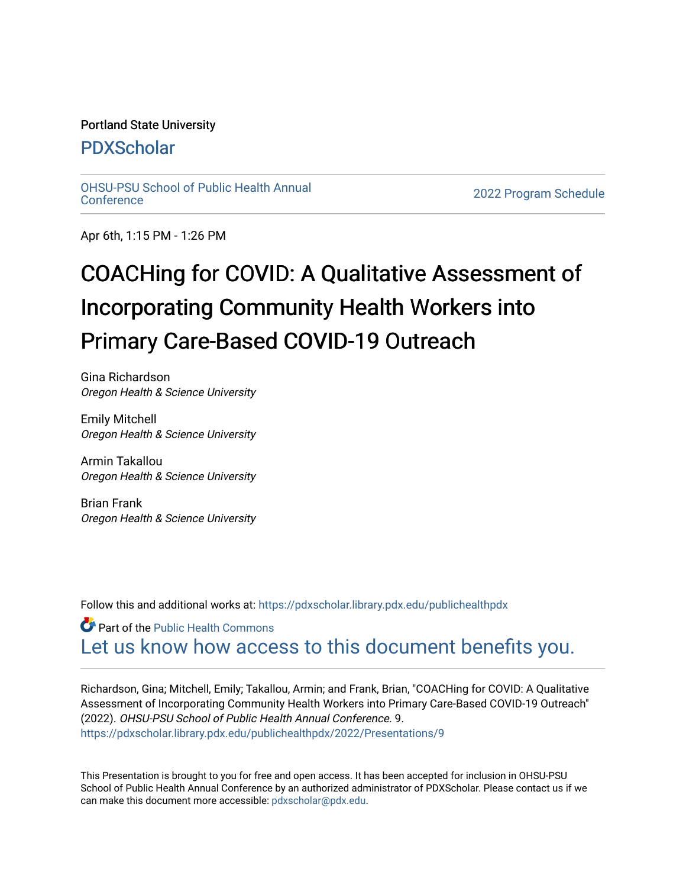## Portland State University

## [PDXScholar](https://pdxscholar.library.pdx.edu/)

[OHSU-PSU School of Public Health Annual](https://pdxscholar.library.pdx.edu/publichealthpdx)

2022 Program Schedule

Apr 6th, 1:15 PM - 1:26 PM

## COACHing for COVID: A Qualitative Assessment of Incorporating Community Health Workers into Primary Care-Based COVID-19 Outreach

Gina Richardson Oregon Health & Science University

Emily Mitchell Oregon Health & Science University

Armin Takallou Oregon Health & Science University

Brian Frank Oregon Health & Science University

Follow this and additional works at: https://pdxscholar.library.pdx.edu/publichealthpdx

**Part of the Public Health Commons** [Let us know how access to this document benefits you.](http://library.pdx.edu/services/pdxscholar-services/pdxscholar-feedback/) 

Richardson, Gina; Mitchell, Emily; Takallou, Armin; and Frank, Brian, "COACHing for COVID: A Qualitative Assessment of Incorporating Community Health Workers into Primary Care-Based COVID-19 Outreach" (2022). OHSU-PSU School of Public Health Annual Conference. 9. [https://pdxscholar.library.pdx.edu/publichealthpdx/2022/Presentations/9](https://pdxscholar.library.pdx.edu/publichealthpdx/2022/Presentations/9?utm_source=pdxscholar.library.pdx.edu%2Fpublichealthpdx%2F2022%2FPresentations%2F9&utm_medium=PDF&utm_campaign=PDFCoverPages) 

This Presentation is brought to you for free and open access. It has been accepted for inclusion in OHSU-PSU School of Public Health Annual Conference by an authorized administrator of PDXScholar. Please contact us if we can make this document more accessible: [pdxscholar@pdx.edu.](mailto:pdxscholar@pdx.edu)